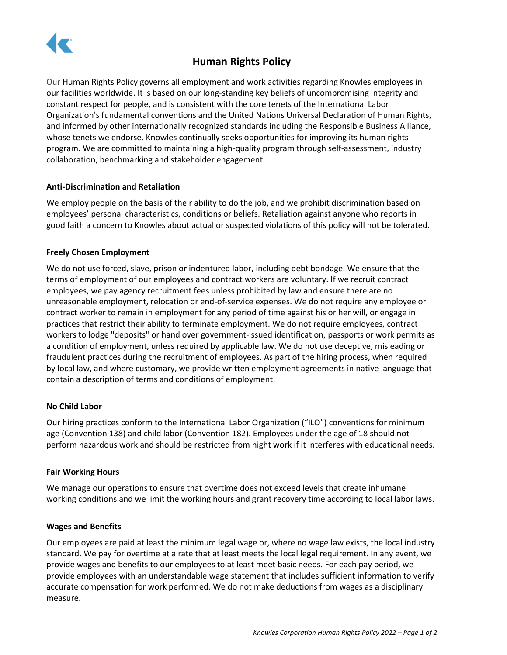

# **Human Rights Policy**

Our Human Rights Policy governs all employment and work activities regarding Knowles employees in our facilities worldwide. It is based on our long-standing key beliefs of uncompromising integrity and constant respect for people, and is consistent with the core tenets of the International Labor Organization's fundamental conventions and the United Nations Universal Declaration of Human Rights, and informed by other internationally recognized standards including the Responsible Business Alliance, whose tenets we endorse. Knowles continually seeks opportunities for improving its human rights program. We are committed to maintaining a high-quality program through self-assessment, industry collaboration, benchmarking and stakeholder engagement.

## **Anti-Discrimination and Retaliation**

We employ people on the basis of their ability to do the job, and we prohibit discrimination based on employees' personal characteristics, conditions or beliefs. Retaliation against anyone who reports in good faith a concern to Knowles about actual or suspected violations of this policy will not be tolerated.

## **Freely Chosen Employment**

We do not use forced, slave, prison or indentured labor, including debt bondage. We ensure that the terms of employment of our employees and contract workers are voluntary. If we recruit contract employees, we pay agency recruitment fees unless prohibited by law and ensure there are no unreasonable employment, relocation or end-of-service expenses. We do not require any employee or contract worker to remain in employment for any period of time against his or her will, or engage in practices that restrict their ability to terminate employment. We do not require employees, contract workers to lodge "deposits" or hand over government-issued identification, passports or work permits as a condition of employment, unless required by applicable law. We do not use deceptive, misleading or fraudulent practices during the recruitment of employees. As part of the hiring process, when required by local law, and where customary, we provide written employment agreements in native language that contain a description of terms and conditions of employment.

## **No Child Labor**

Our hiring practices conform to the International Labor Organization ("ILO") conventions for minimum age (Convention 138) and child labor (Convention 182). Employees under the age of 18 should not perform hazardous work and should be restricted from night work if it interferes with educational needs.

## **Fair Working Hours**

We manage our operations to ensure that overtime does not exceed levels that create inhumane working conditions and we limit the working hours and grant recovery time according to local labor laws.

## **Wages and Benefits**

Our employees are paid at least the minimum legal wage or, where no wage law exists, the local industry standard. We pay for overtime at a rate that at least meets the local legal requirement. In any event, we provide wages and benefits to our employees to at least meet basic needs. For each pay period, we provide employees with an understandable wage statement that includes sufficient information to verify accurate compensation for work performed. We do not make deductions from wages as a disciplinary measure.